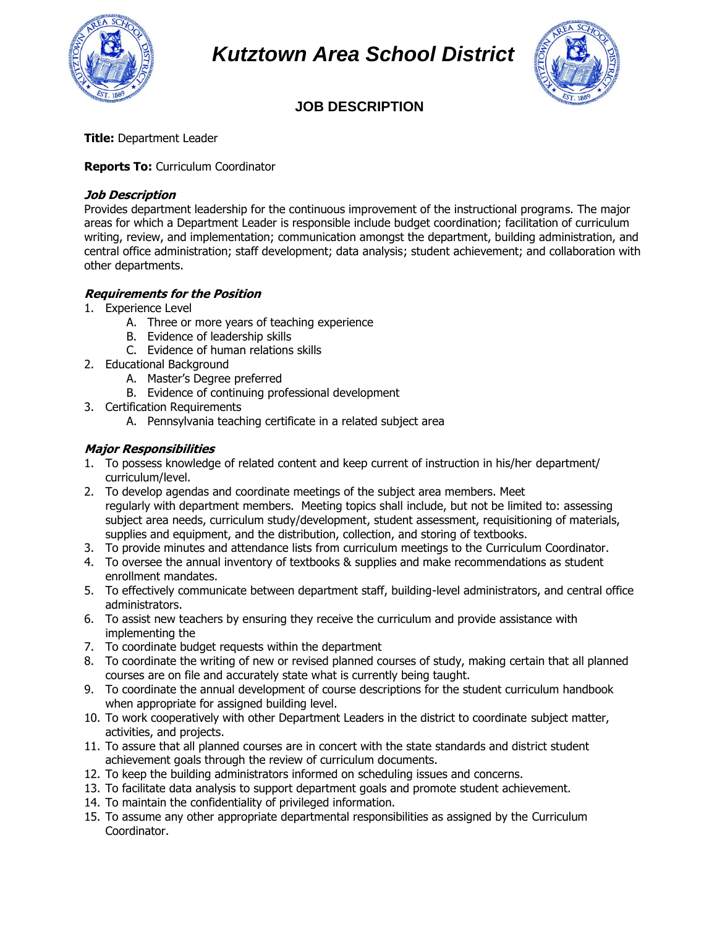

# *Kutztown Area School District*



# **JOB DESCRIPTION**

**Title:** Department Leader

# **Reports To:** Curriculum Coordinator

## **Job Description**

Provides department leadership for the continuous improvement of the instructional programs. The major areas for which a Department Leader is responsible include budget coordination; facilitation of curriculum writing, review, and implementation; communication amongst the department, building administration, and central office administration; staff development; data analysis; student achievement; and collaboration with other departments.

# **Requirements for the Position**

- 1. Experience Level
	- A. Three or more years of teaching experience
	- B. Evidence of leadership skills
	- C. Evidence of human relations skills
- 2. Educational Background
	- A. Master's Degree preferred
	- B. Evidence of continuing professional development
- 3. Certification Requirements
	- A. Pennsylvania teaching certificate in a related subject area

### **Major Responsibilities**

- 1. To possess knowledge of related content and keep current of instruction in his/her department/ curriculum/level.
- 2. To develop agendas and coordinate meetings of the subject area members. Meet regularly with department members. Meeting topics shall include, but not be limited to: assessing subject area needs, curriculum study/development, student assessment, requisitioning of materials, supplies and equipment, and the distribution, collection, and storing of textbooks.
- 3. To provide minutes and attendance lists from curriculum meetings to the Curriculum Coordinator.
- 4. To oversee the annual inventory of textbooks & supplies and make recommendations as student enrollment mandates.
- 5. To effectively communicate between department staff, building-level administrators, and central office administrators.
- 6. To assist new teachers by ensuring they receive the curriculum and provide assistance with implementing the
- 7. To coordinate budget requests within the department
- 8. To coordinate the writing of new or revised planned courses of study, making certain that all planned courses are on file and accurately state what is currently being taught.
- 9. To coordinate the annual development of course descriptions for the student curriculum handbook when appropriate for assigned building level.
- 10. To work cooperatively with other Department Leaders in the district to coordinate subject matter, activities, and projects.
- 11. To assure that all planned courses are in concert with the state standards and district student achievement goals through the review of curriculum documents.
- 12. To keep the building administrators informed on scheduling issues and concerns.
- 13. To facilitate data analysis to support department goals and promote student achievement.
- 14. To maintain the confidentiality of privileged information.
- 15. To assume any other appropriate departmental responsibilities as assigned by the Curriculum Coordinator.